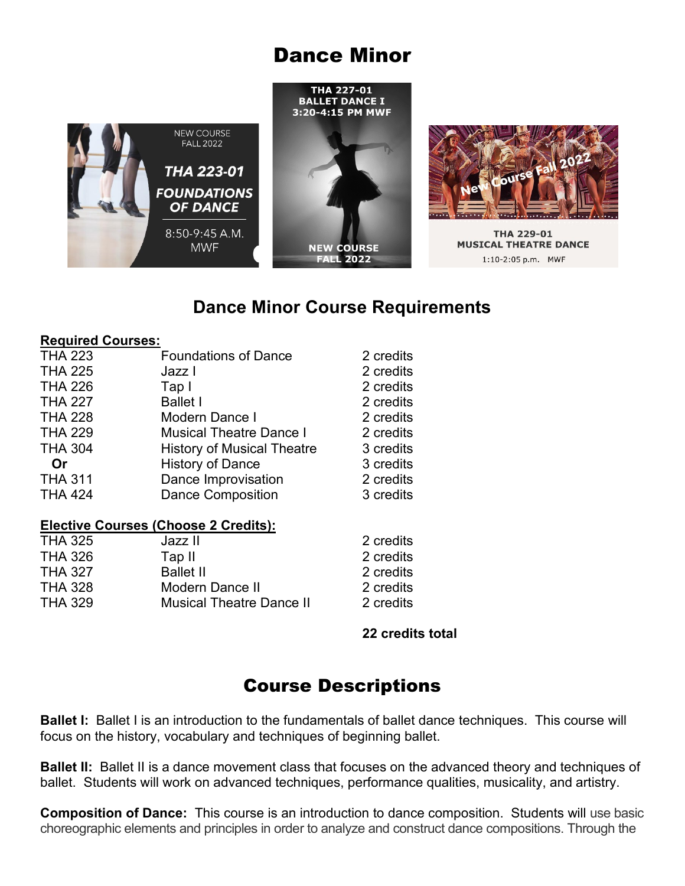# Dance Minor





**THA 229-01 MUSICAL THEATRE DANCE** 1:10-2:05 p.m. MWF

### **Dance Minor Course Requirements**

#### **Required Courses:**

| <b>Foundations of Dance</b>       | 2 credits             |
|-----------------------------------|-----------------------|
| Jazz I                            | 2 credits             |
| Tap I                             | 2 credits             |
| <b>Ballet I</b>                   | 2 credits             |
| Modern Dance I                    | 2 credits             |
| <b>Musical Theatre Dance I</b>    | 2 credits             |
| <b>History of Musical Theatre</b> | 3 credits             |
| <b>History of Dance</b>           | 3 credits             |
| Dance Improvisation               | 2 credits             |
| <b>Dance Composition</b>          | 3 credits             |
|                                   |                       |
|                                   | Fl. . (* /AL A.A !*() |

#### **Elective Courses (Choose 2 Credits):**

|                                 | 2 credits |
|---------------------------------|-----------|
| Tap II                          | 2 credits |
| <b>Ballet II</b>                | 2 credits |
| Modern Dance II                 | 2 credits |
| <b>Musical Theatre Dance II</b> | 2 credits |
|                                 | Jazz II   |

**22 credits total**

## Course Descriptions

**Ballet I:** Ballet I is an introduction to the fundamentals of ballet dance techniques. This course will focus on the history, vocabulary and techniques of beginning ballet.

**Ballet II:** Ballet II is a dance movement class that focuses on the advanced theory and techniques of ballet. Students will work on advanced techniques, performance qualities, musicality, and artistry.

**Composition of Dance:** This course is an introduction to dance composition. Students will use basic choreographic elements and principles in order to analyze and construct dance compositions. Through the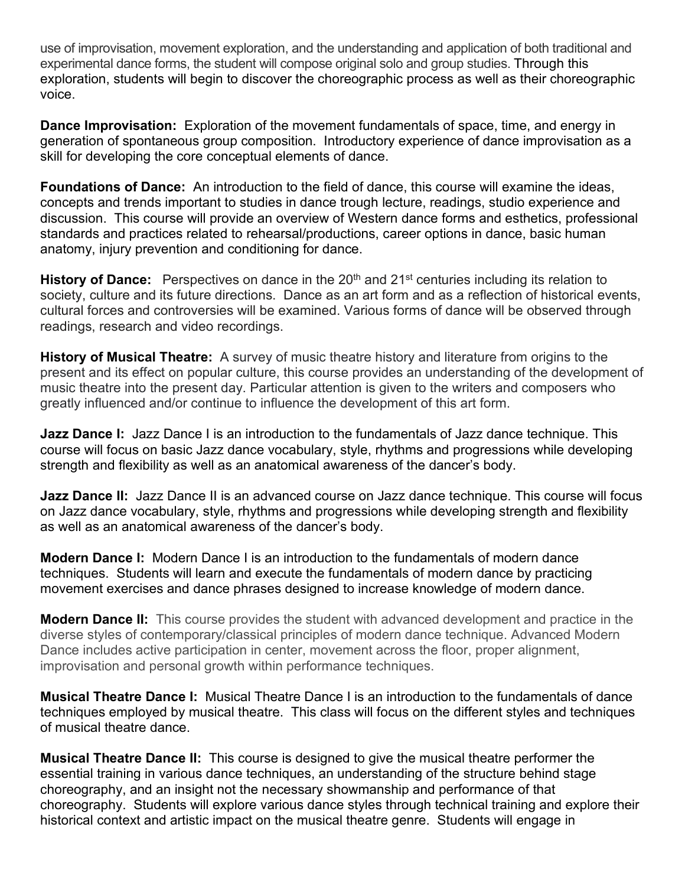use of improvisation, movement exploration, and the understanding and application of both traditional and experimental dance forms, the student will compose original solo and group studies. Through this exploration, students will begin to discover the choreographic process as well as their choreographic voice.

**Dance Improvisation:** Exploration of the movement fundamentals of space, time, and energy in generation of spontaneous group composition. Introductory experience of dance improvisation as a skill for developing the core conceptual elements of dance.

**Foundations of Dance:** An introduction to the field of dance, this course will examine the ideas, concepts and trends important to studies in dance trough lecture, readings, studio experience and discussion. This course will provide an overview of Western dance forms and esthetics, professional standards and practices related to rehearsal/productions, career options in dance, basic human anatomy, injury prevention and conditioning for dance.

**History of Dance:** Perspectives on dance in the 20<sup>th</sup> and 21<sup>st</sup> centuries including its relation to society, culture and its future directions. Dance as an art form and as a reflection of historical events, cultural forces and controversies will be examined. Various forms of dance will be observed through readings, research and video recordings.

**History of Musical Theatre:** A survey of music theatre history and literature from origins to the present and its effect on popular culture, this course provides an understanding of the development of music theatre into the present day. Particular attention is given to the writers and composers who greatly influenced and/or continue to influence the development of this art form.

**Jazz Dance I:** Jazz Dance I is an introduction to the fundamentals of Jazz dance technique. This course will focus on basic Jazz dance vocabulary, style, rhythms and progressions while developing strength and flexibility as well as an anatomical awareness of the dancer's body.

**Jazz Dance II:** Jazz Dance II is an advanced course on Jazz dance technique. This course will focus on Jazz dance vocabulary, style, rhythms and progressions while developing strength and flexibility as well as an anatomical awareness of the dancer's body.

**Modern Dance I:** Modern Dance I is an introduction to the fundamentals of modern dance techniques. Students will learn and execute the fundamentals of modern dance by practicing movement exercises and dance phrases designed to increase knowledge of modern dance.

**Modern Dance II:** This course provides the student with advanced development and practice in the diverse styles of contemporary/classical principles of modern dance technique. Advanced Modern Dance includes active participation in center, movement across the floor, proper alignment, improvisation and personal growth within performance techniques.

**Musical Theatre Dance I:** Musical Theatre Dance I is an introduction to the fundamentals of dance techniques employed by musical theatre. This class will focus on the different styles and techniques of musical theatre dance.

**Musical Theatre Dance II:** This course is designed to give the musical theatre performer the essential training in various dance techniques, an understanding of the structure behind stage choreography, and an insight not the necessary showmanship and performance of that choreography. Students will explore various dance styles through technical training and explore their historical context and artistic impact on the musical theatre genre. Students will engage in